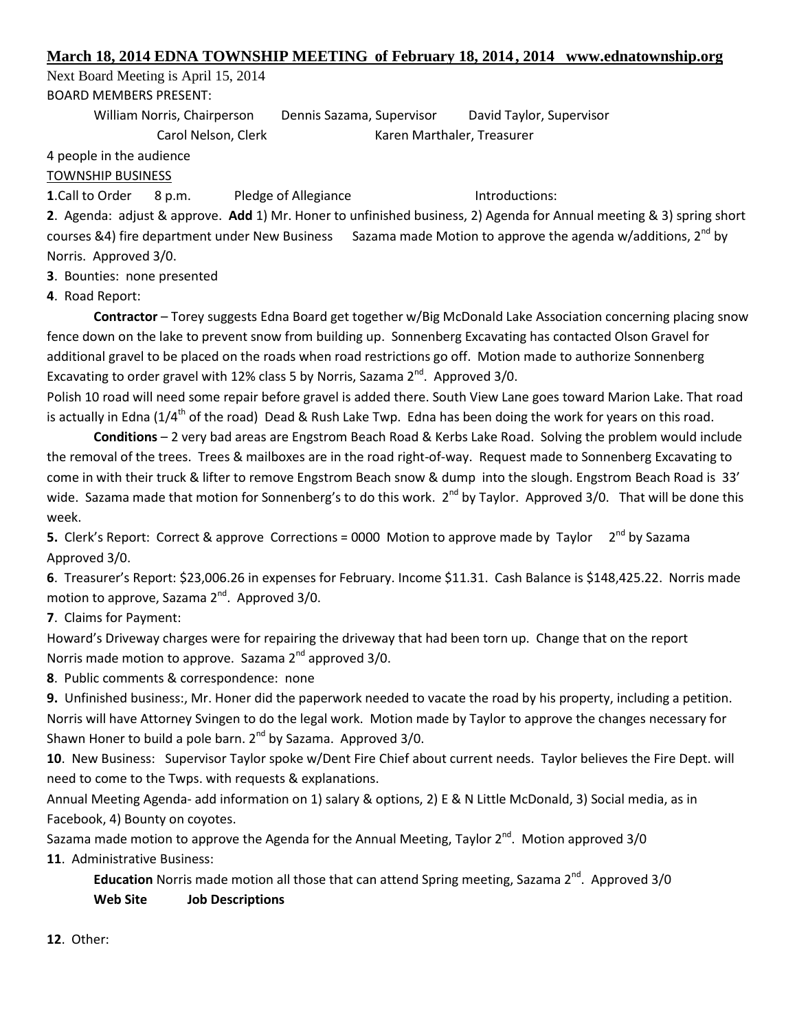## **March 18, 2014 EDNA TOWNSHIP MEETING of February 18, 2014, 2014 www.ednatownship.org**

Next Board Meeting is April 15, 2014 BOARD MEMBERS PRESENT:

> William Norris, Chairperson Dennis Sazama, Supervisor David Taylor, Supervisor Carol Nelson, Clerk Karen Marthaler, Treasurer

4 people in the audience

TOWNSHIP BUSINESS

**1.Call to Order 8 p.m. Pledge of Allegiance Introductions:** 

**2**. Agenda: adjust & approve. **Add** 1) Mr. Honer to unfinished business, 2) Agenda for Annual meeting & 3) spring short courses &4) fire department under New Business Sazama made Motion to approve the agenda w/additions,  $2^{nd}$  by Norris. Approved 3/0.

**3**. Bounties: none presented

**4**. Road Report:

**Contractor** – Torey suggests Edna Board get together w/Big McDonald Lake Association concerning placing snow fence down on the lake to prevent snow from building up. Sonnenberg Excavating has contacted Olson Gravel for additional gravel to be placed on the roads when road restrictions go off. Motion made to authorize Sonnenberg Excavating to order gravel with 12% class 5 by Norris, Sazama  $2^{nd}$ . Approved 3/0.

Polish 10 road will need some repair before gravel is added there. South View Lane goes toward Marion Lake. That road is actually in Edna ( $1/4<sup>th</sup>$  of the road) Dead & Rush Lake Twp. Edna has been doing the work for years on this road.

**Conditions** – 2 very bad areas are Engstrom Beach Road & Kerbs Lake Road. Solving the problem would include the removal of the trees. Trees & mailboxes are in the road right-of-way. Request made to Sonnenberg Excavating to come in with their truck & lifter to remove Engstrom Beach snow & dump into the slough. Engstrom Beach Road is 33' wide. Sazama made that motion for Sonnenberg's to do this work. 2<sup>nd</sup> by Taylor. Approved 3/0. That will be done this week.

**5.** Clerk's Report: Correct & approve Corrections = 0000 Motion to approve made by Taylor 2<sup>nd</sup> by Sazama Approved 3/0.

**6**. Treasurer's Report: \$23,006.26 in expenses for February. Income \$11.31. Cash Balance is \$148,425.22. Norris made motion to approve, Sazama 2<sup>nd</sup>. Approved 3/0.

**7**. Claims for Payment:

Howard's Driveway charges were for repairing the driveway that had been torn up. Change that on the report Norris made motion to approve. Sazama  $2<sup>nd</sup>$  approved  $3/0$ .

**8**. Public comments & correspondence: none

**9.** Unfinished business:, Mr. Honer did the paperwork needed to vacate the road by his property, including a petition. Norris will have Attorney Svingen to do the legal work. Motion made by Taylor to approve the changes necessary for Shawn Honer to build a pole barn. 2<sup>nd</sup> by Sazama. Approved 3/0.

**10**. New Business: Supervisor Taylor spoke w/Dent Fire Chief about current needs. Taylor believes the Fire Dept. will need to come to the Twps. with requests & explanations.

Annual Meeting Agenda- add information on 1) salary & options, 2) E & N Little McDonald, 3) Social media, as in Facebook, 4) Bounty on coyotes.

Sazama made motion to approve the Agenda for the Annual Meeting, Taylor  $2^{nd}$ . Motion approved 3/0 **11**. Administrative Business:

**Education** Norris made motion all those that can attend Spring meeting, Sazama 2<sup>nd</sup>. Approved 3/0 **Web Site Job Descriptions**

**12**. Other: